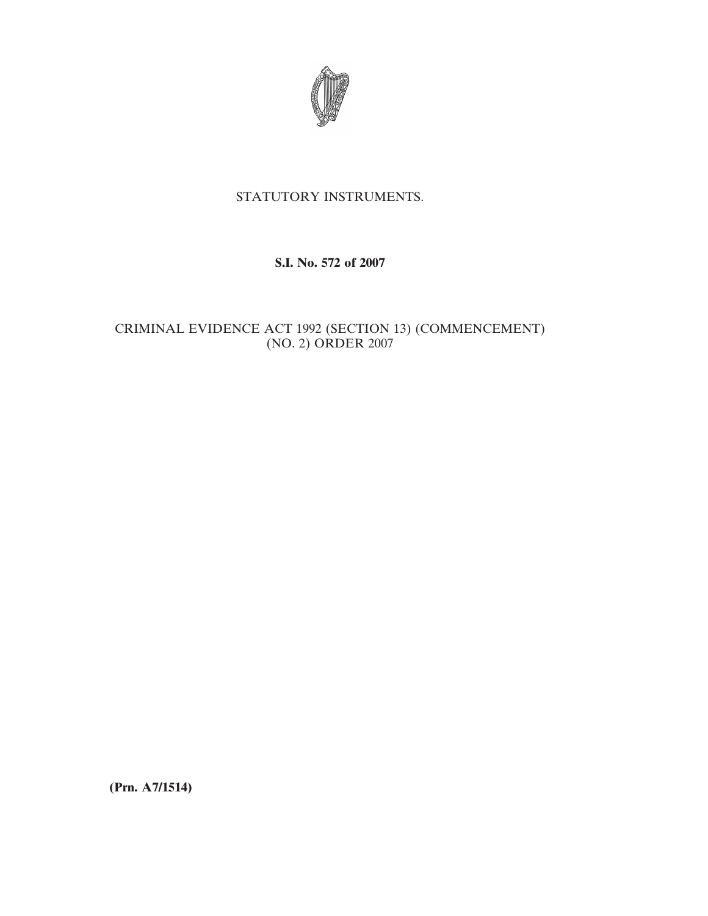

# STATUTORY INSTRUMENTS.

### **S.I. No. 572 of 2007**

## CRIMINAL EVIDENCE ACT 1992 (SECTION 13) (COMMENCEMENT) (NO. 2) ORDER 2007

**(Prn. A7/1514)**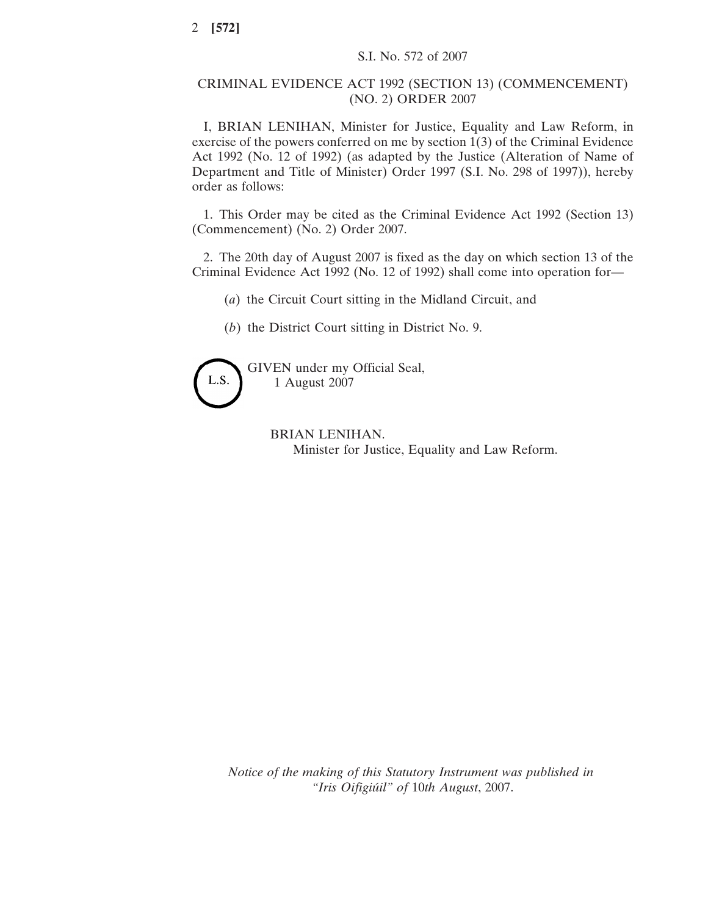### CRIMINAL EVIDENCE ACT 1992 (SECTION 13) (COMMENCEMENT) (NO. 2) ORDER 2007

I, BRIAN LENIHAN, Minister for Justice, Equality and Law Reform, in exercise of the powers conferred on me by section 1(3) of the Criminal Evidence Act 1992 (No. 12 of 1992) (as adapted by the Justice (Alteration of Name of Department and Title of Minister) Order 1997 (S.I. No. 298 of 1997)), hereby order as follows:

1. This Order may be cited as the Criminal Evidence Act 1992 (Section 13) (Commencement) (No. 2) Order 2007.

2. The 20th day of August 2007 is fixed as the day on which section 13 of the Criminal Evidence Act 1992 (No. 12 of 1992) shall come into operation for—

(*a*) the Circuit Court sitting in the Midland Circuit, and

(*b*) the District Court sitting in District No. 9.



GIVEN under my Official Seal, 1 August 2007

> BRIAN LENIHAN. Minister for Justice, Equality and Law Reform.

*Notice of the making of this Statutory Instrument was published in "Iris Oifigiu´il" of* 10*th August*, 2007.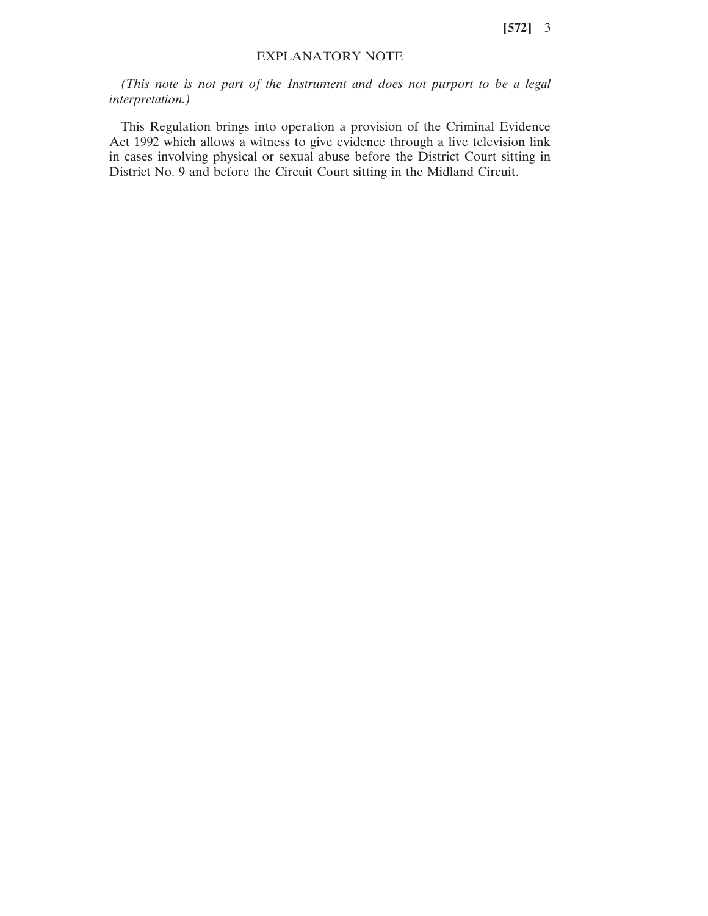**[572]** 3

#### EXPLANATORY NOTE

*(This note is not part of the Instrument and does not purport to be a legal interpretation.)*

This Regulation brings into operation a provision of the Criminal Evidence Act 1992 which allows a witness to give evidence through a live television link in cases involving physical or sexual abuse before the District Court sitting in District No. 9 and before the Circuit Court sitting in the Midland Circuit.